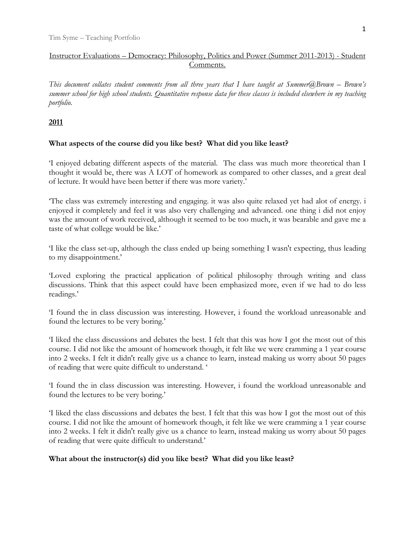# Instructor Evaluations – Democracy: Philosophy, Politics and Power (Summer 2011-2013) - Student Comments.

*This document collates student comments from all three years that I have taught at Summer@Brown – Brown's summer school for high school students. Quantitative response data for these classes is included elsewhere in my teaching portfolio.* 

### **2011**

## **What aspects of the course did you like best? What did you like least?**

'I enjoyed debating different aspects of the material. The class was much more theoretical than I thought it would be, there was A LOT of homework as compared to other classes, and a great deal of lecture. It would have been better if there was more variety.'

'The class was extremely interesting and engaging. it was also quite relaxed yet had alot of energy. i enjoyed it completely and feel it was also very challenging and advanced. one thing i did not enjoy was the amount of work received, although it seemed to be too much, it was bearable and gave me a taste of what college would be like.'

'I like the class set-up, although the class ended up being something I wasn't expecting, thus leading to my disappointment.'

'Loved exploring the practical application of political philosophy through writing and class discussions. Think that this aspect could have been emphasized more, even if we had to do less readings.'

'I found the in class discussion was interesting. However, i found the workload unreasonable and found the lectures to be very boring.'

'I liked the class discussions and debates the best. I felt that this was how I got the most out of this course. I did not like the amount of homework though, it felt like we were cramming a 1 year course into 2 weeks. I felt it didn't really give us a chance to learn, instead making us worry about 50 pages of reading that were quite difficult to understand. '

'I found the in class discussion was interesting. However, i found the workload unreasonable and found the lectures to be very boring.'

'I liked the class discussions and debates the best. I felt that this was how I got the most out of this course. I did not like the amount of homework though, it felt like we were cramming a 1 year course into 2 weeks. I felt it didn't really give us a chance to learn, instead making us worry about 50 pages of reading that were quite difficult to understand.'

## **What about the instructor(s) did you like best? What did you like least?**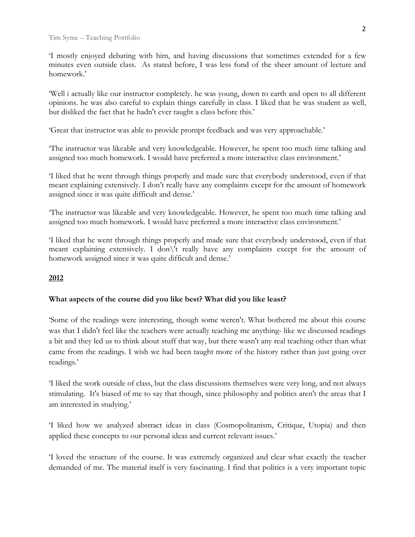'I mostly enjoyed debating with him, and having discussions that sometimes extended for a few minutes even outside class. As stated before, I was less fond of the sheer amount of lecture and homework.'

'Well i actually like our instructor completely. he was young, down to earth and open to all different opinions. he was also careful to explain things carefully in class. I liked that he was student as well, but disliked the fact that he hadn't ever taught a class before this.'

'Great that instructor was able to provide prompt feedback and was very approachable.'

'The instructor was likeable and very knowledgeable. However, he spent too much time talking and assigned too much homework. I would have preferred a more interactive class environment.'

'I liked that he went through things properly and made sure that everybody understood, even if that meant explaining extensively. I don't really have any complaints except for the amount of homework assigned since it was quite difficult and dense.'

'The instructor was likeable and very knowledgeable. However, he spent too much time talking and assigned too much homework. I would have preferred a more interactive class environment.'

'I liked that he went through things properly and made sure that everybody understood, even if that meant explaining extensively. I don\'t really have any complaints except for the amount of homework assigned since it was quite difficult and dense.'

### **2012**

### **What aspects of the course did you like best? What did you like least?**

'Some of the readings were interesting, though some weren't. What bothered me about this course was that I didn't feel like the teachers were actually teaching me anything- like we discussed readings a bit and they led us to think about stuff that way, but there wasn't any real teaching other than what came from the readings. I wish we had been taught more of the history rather than just going over readings.'

'I liked the work outside of class, but the class discussions themselves were very long, and not always stimulating. It's biased of me to say that though, since philosophy and politics aren't the areas that I am interested in studying.'

'I liked how we analyzed abstract ideas in class (Cosmopolitanism, Critique, Utopia) and then applied these concepts to our personal ideas and current relevant issues.'

'I loved the structure of the course. It was extremely organized and clear what exactly the teacher demanded of me. The material itself is very fascinating. I find that politics is a very important topic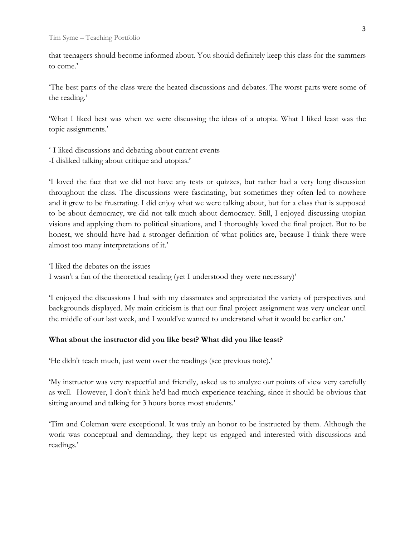that teenagers should become informed about. You should definitely keep this class for the summers to come.'

'The best parts of the class were the heated discussions and debates. The worst parts were some of the reading.'

'What I liked best was when we were discussing the ideas of a utopia. What I liked least was the topic assignments.'

'-I liked discussions and debating about current events -I disliked talking about critique and utopias.'

'I loved the fact that we did not have any tests or quizzes, but rather had a very long discussion throughout the class. The discussions were fascinating, but sometimes they often led to nowhere and it grew to be frustrating. I did enjoy what we were talking about, but for a class that is supposed to be about democracy, we did not talk much about democracy. Still, I enjoyed discussing utopian visions and applying them to political situations, and I thoroughly loved the final project. But to be honest, we should have had a stronger definition of what politics are, because I think there were almost too many interpretations of it.'

'I liked the debates on the issues

I wasn't a fan of the theoretical reading (yet I understood they were necessary)'

'I enjoyed the discussions I had with my classmates and appreciated the variety of perspectives and backgrounds displayed. My main criticism is that our final project assignment was very unclear until the middle of our last week, and I would've wanted to understand what it would be earlier on.'

### **What about the instructor did you like best? What did you like least?**

'He didn't teach much, just went over the readings (see previous note).'

'My instructor was very respectful and friendly, asked us to analyze our points of view very carefully as well. However, I don't think he'd had much experience teaching, since it should be obvious that sitting around and talking for 3 hours bores most students.'

'Tim and Coleman were exceptional. It was truly an honor to be instructed by them. Although the work was conceptual and demanding, they kept us engaged and interested with discussions and readings.'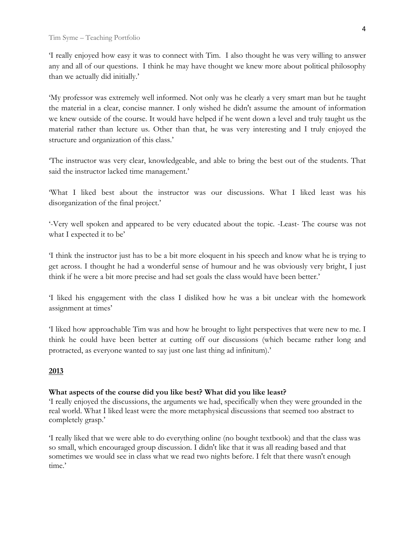'I really enjoyed how easy it was to connect with Tim. I also thought he was very willing to answer any and all of our questions. I think he may have thought we knew more about political philosophy than we actually did initially.'

'My professor was extremely well informed. Not only was he clearly a very smart man but he taught the material in a clear, concise manner. I only wished he didn't assume the amount of information we knew outside of the course. It would have helped if he went down a level and truly taught us the material rather than lecture us. Other than that, he was very interesting and I truly enjoyed the structure and organization of this class.'

'The instructor was very clear, knowledgeable, and able to bring the best out of the students. That said the instructor lacked time management.'

'What I liked best about the instructor was our discussions. What I liked least was his disorganization of the final project.'

'-Very well spoken and appeared to be very educated about the topic. -Least- The course was not what I expected it to be'

'I think the instructor just has to be a bit more eloquent in his speech and know what he is trying to get across. I thought he had a wonderful sense of humour and he was obviously very bright, I just think if he were a bit more precise and had set goals the class would have been better.'

'I liked his engagement with the class I disliked how he was a bit unclear with the homework assignment at times'

'I liked how approachable Tim was and how he brought to light perspectives that were new to me. I think he could have been better at cutting off our discussions (which became rather long and protracted, as everyone wanted to say just one last thing ad infinitum).'

## **2013**

### **What aspects of the course did you like best? What did you like least?**

'I really enjoyed the discussions, the arguments we had, specifically when they were grounded in the real world. What I liked least were the more metaphysical discussions that seemed too abstract to completely grasp.'

'I really liked that we were able to do everything online (no bought textbook) and that the class was so small, which encouraged group discussion. I didn't like that it was all reading based and that sometimes we would see in class what we read two nights before. I felt that there wasn't enough time.'